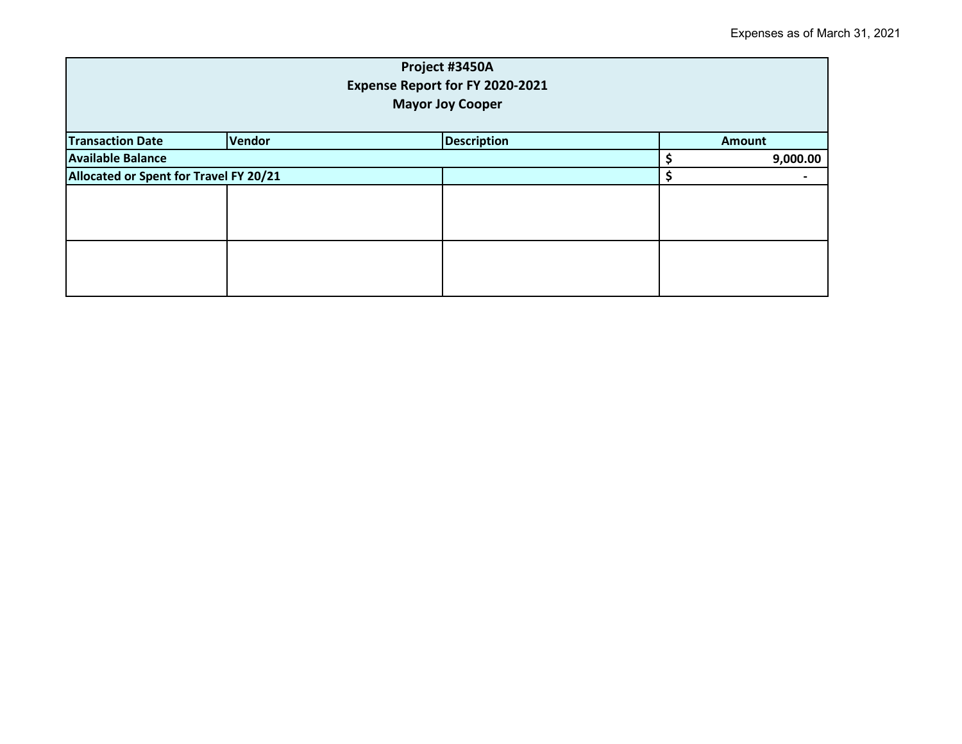| Project #3450A<br>Expense Report for FY 2020-2021<br><b>Mayor Joy Cooper</b> |                              |  |  |                          |  |
|------------------------------------------------------------------------------|------------------------------|--|--|--------------------------|--|
| <b>Transaction Date</b>                                                      | Vendor<br><b>Description</b> |  |  | <b>Amount</b>            |  |
| <b>Available Balance</b>                                                     |                              |  |  | 9,000.00                 |  |
| Allocated or Spent for Travel FY 20/21                                       |                              |  |  | $\overline{\phantom{0}}$ |  |
|                                                                              |                              |  |  |                          |  |
|                                                                              |                              |  |  |                          |  |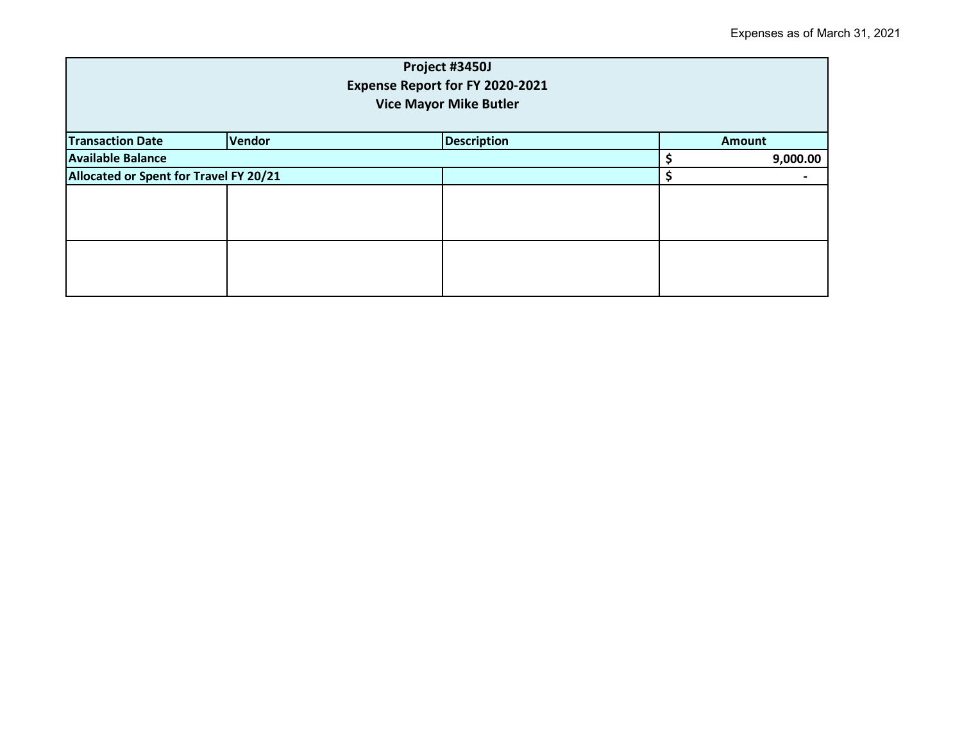| Project #3450J<br>Expense Report for FY 2020-2021<br><b>Vice Mayor Mike Butler</b> |        |                    |  |               |  |
|------------------------------------------------------------------------------------|--------|--------------------|--|---------------|--|
| <b>Transaction Date</b>                                                            | Vendor | <b>Description</b> |  | <b>Amount</b> |  |
| <b>Available Balance</b>                                                           |        |                    |  | 9,000.00      |  |
| Allocated or Spent for Travel FY 20/21                                             |        |                    |  |               |  |
|                                                                                    |        |                    |  |               |  |
|                                                                                    |        |                    |  |               |  |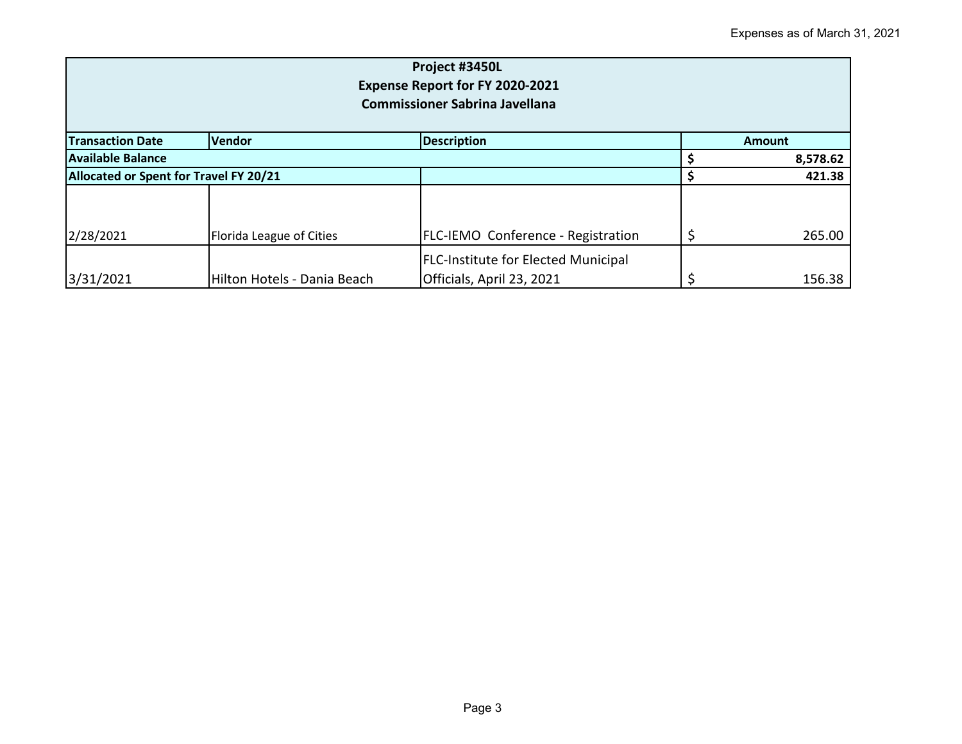| Project #3450L<br>Expense Report for FY 2020-2021<br><b>Commissioner Sabrina Javellana</b> |                             |                                                                         |  |               |  |  |
|--------------------------------------------------------------------------------------------|-----------------------------|-------------------------------------------------------------------------|--|---------------|--|--|
| <b>Transaction Date</b>                                                                    | <b>Vendor</b>               | <b>Description</b>                                                      |  | <b>Amount</b> |  |  |
| Available Balance                                                                          |                             |                                                                         |  | 8,578.62      |  |  |
| Allocated or Spent for Travel FY 20/21                                                     |                             |                                                                         |  | 421.38        |  |  |
| 2/28/2021                                                                                  | Florida League of Cities    | <b>FLC-IEMO Conference - Registration</b>                               |  | 265.00        |  |  |
| 3/31/2021                                                                                  | Hilton Hotels - Dania Beach | <b>FLC-Institute for Elected Municipal</b><br>Officials, April 23, 2021 |  | 156.38        |  |  |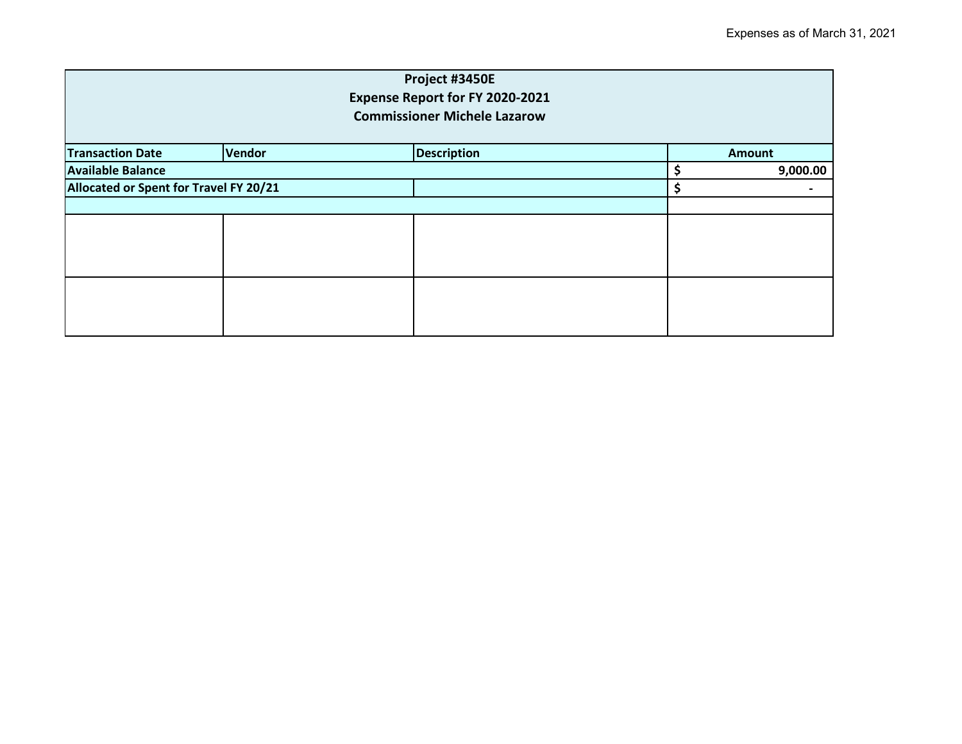| Project #3450E<br>Expense Report for FY 2020-2021<br><b>Commissioner Michele Lazarow</b> |        |  |             |          |  |               |
|------------------------------------------------------------------------------------------|--------|--|-------------|----------|--|---------------|
| <b>Transaction Date</b>                                                                  | Vendor |  | Description |          |  | <b>Amount</b> |
| <b>Available Balance</b>                                                                 |        |  |             | 9,000.00 |  |               |
| Allocated or Spent for Travel FY 20/21                                                   |        |  | \$          |          |  |               |
|                                                                                          |        |  |             |          |  |               |
|                                                                                          |        |  |             |          |  |               |
|                                                                                          |        |  |             |          |  |               |
|                                                                                          |        |  |             |          |  |               |
|                                                                                          |        |  |             |          |  |               |
|                                                                                          |        |  |             |          |  |               |
|                                                                                          |        |  |             |          |  |               |